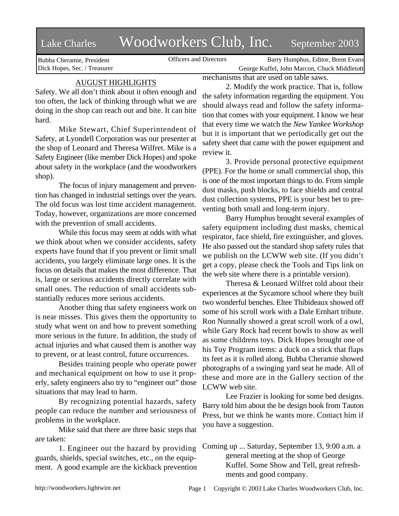# Lake Charles Woodworkers Club, Inc. September 2003

Bubba Cheramie, President Dick Hopes, Sec. / Treasurer Officers and Directors Barry Humphus, Editor, Brent Evans

George Kuffel, John Marcon, Chuck Middleton mechanisms that are used on table saws.

# AUGUST HIGHLIGHTS

Safety. We all don't think about it often enough and too often, the lack of thinking through what we are doing in the shop can reach out and bite. It can bite hard.

Mike Stewart, Chief Superintendent of Safety, at Lyondell Corporation was our presenter at the shop of Leonard and Theresa Wilfret. Mike is a Safety Engineer (like member Dick Hopes) and spoke about safety in the workplace (and the woodworkers shop).

The focus of injury management and prevention has changed in industrial settings over the years. The old focus was lost time accident management. Today, however, organizations are more concerned with the prevention of small accidents.

While this focus may seem at odds with what we think about when we consider accidents, safety experts have found that if you prevent or limit small accidents, you largely eliminate large ones. It is the focus on details that makes the most difference. That is, large or serious accidents directly correlate with small ones. The reduction of small accidents substantially reduces more serious accidents.

Another thing that safety engineers work on is near misses. This gives them the opportunity to study what went on and how to prevent something more serious in the future. In addition, the study of actual injuries and what caused them is another way to prevent, or at least control, future occurrences.

Besides training people who operate power and mechanical equipment on how to use it properly, safety engineers also try to "engineer out" those situations that may lead to harm.

By recognizing potential hazards, safety people can reduce the number and seriousness of problems in the workplace.

Mike said that there are three basic steps that are taken:

1. Engineer out the hazard by providing guards, shields, special switches, etc., on the equipment. A good example are the kickback prevention

2. Modify the work practice. That is, follow the safety information regarding the equipment. You should always read and follow the safety information that comes with your equipment. I know we hear that every time we watch the *New Yankee Workshop* but it is important that we periodically get out the safety sheet that came with the power equipment and review it.

3. Provide personal protective equipment (PPE). For the home or small commercial shop, this is one of the most important things to do. From simple dust masks, push blocks, to face shields and central dust collection systems, PPE is your best bet to preventing both small and long-term injury.

Barry Humphus brought several examples of safety equipment including dust masks, chemical respirator, face shield, fire extinguisher, and gloves. He also passed out the standard shop safety rules that we publish on the LCWW web site. (If you didn't get a copy, please check the Tools and Tips link on the web site where there is a printable version).

Theresa & Leonard Wilfret told about their experiences at the Sycamore school where they built two wonderful benches. Eltee Thibideaux showed off some of his scroll work with a Dale Ernhart tribute. Ron Nunnally showed a great scroll work of a owl, while Gary Rock had recent bowls to show as well as some childrens toys. Dick Hopes brought one of his Toy Program items: a duck on a stick that flaps its feet as it is rolled along. Bubba Cheramie showed photographs of a swinging yard seat he made. All of these and more are in the Gallery section of the LCWW web site.

Lee Frazier is looking for some bed designs. Barry told him about the be design book from Tauton Press, but we think he wants more. Contact him if you have a suggestion.

Coming up ... Saturday, September 13, 9:00 a.m. a general meeting at the shop of George Kuffel. Some Show and Tell, great refreshments and good company.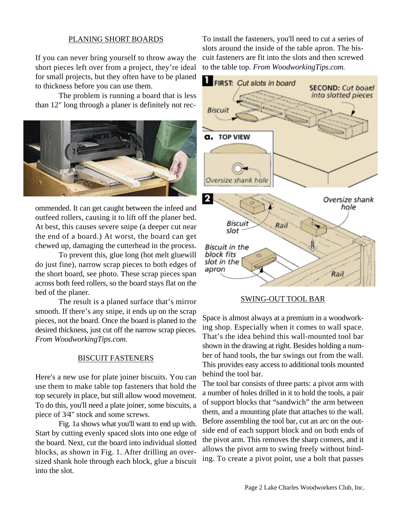# PLANING SHORT BOARDS

If you can never bring yourself to throw away the short pieces left over from a project, they're ideal for small projects, but they often have to be planed to thickness before you can use them.

The problem is running a board that is less than 12" long through a planer is definitely not rec-



ommended. It can get caught between the infeed and outfeed rollers, causing it to lift off the planer bed. At best, this causes severe snipe (a deeper cut near the end of a board.) At worst, the board can get chewed up, damaging the cutterhead in the process.

To prevent this, glue long (hot melt gluewill do just fine), narrow scrap pieces to both edges of the short board, see photo. These scrap pieces span across both feed rollers, so the board stays flat on the bed of the planer.

The result is a planed surface that's mirror smooth. If there's any snipe, it ends up on the scrap pieces, not the board. Once the board is planed to the desired thickness, just cut off the narrow scrap pieces. *From WoodworkingTips.com.*

# BISCUIT FASTENERS

Here's a new use for plate joiner biscuits. You can use them to make table top fasteners that hold the top securely in place, but still allow wood movement. To do this, you'll need a plate joiner, some biscuits, a piece of 3⁄4" stock and some screws.

Fig. 1a shows what you'll want to end up with. Start by cutting evenly spaced slots into one edge of the board. Next, cut the board into individual slotted blocks, as shown in Fig. 1. After drilling an oversized shank hole through each block, glue a biscuit into the slot.

To install the fasteners, you'll need to cut a series of slots around the inside of the table apron. The biscuit fasteners are fit into the slots and then screwed to the table top. *From WoodworkingTips.com.*



SWING-OUT TOOL BAR

Space is almost always at a premium in a woodworking shop. Especially when it comes to wall space. That's the idea behind this wall-mounted tool bar shown in the drawing at right. Besides holding a number of hand tools, the bar swings out from the wall. This provides easy access to additional tools mounted behind the tool bar.

The tool bar consists of three parts: a pivot arm with a number of holes drilled in it to hold the tools, a pair of support blocks that "sandwich" the arm between them, and a mounting plate that attaches to the wall. Before assembling the tool bar, cut an arc on the outside end of each support block and on both ends of the pivot arm. This removes the sharp corners, and it allows the pivot arm to swing freely without binding. To create a pivot point, use a bolt that passes